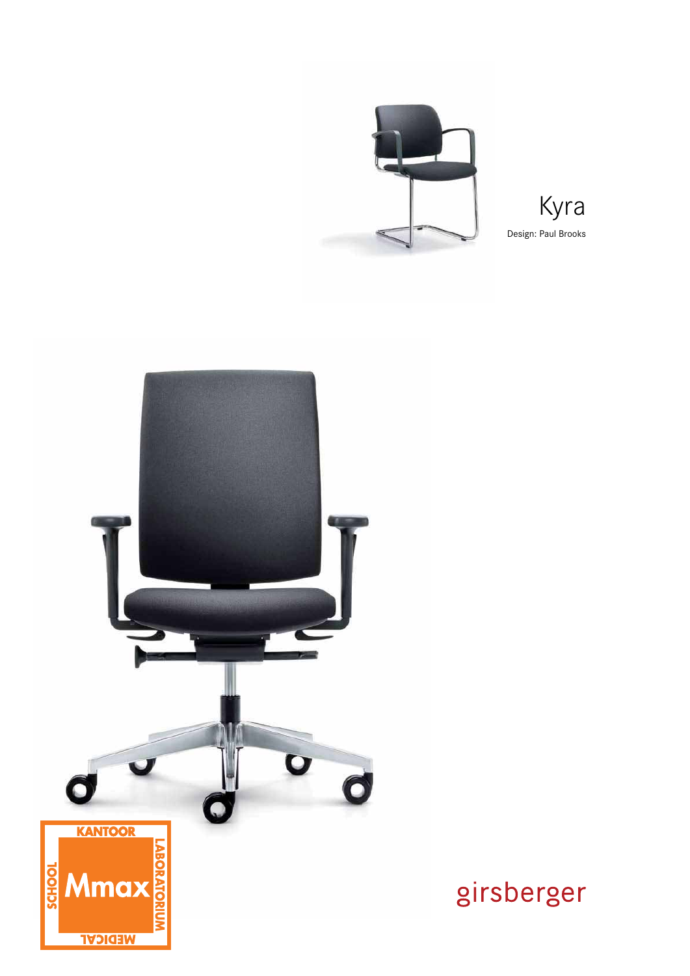

Kyra Design: Paul Brooks



## girsberger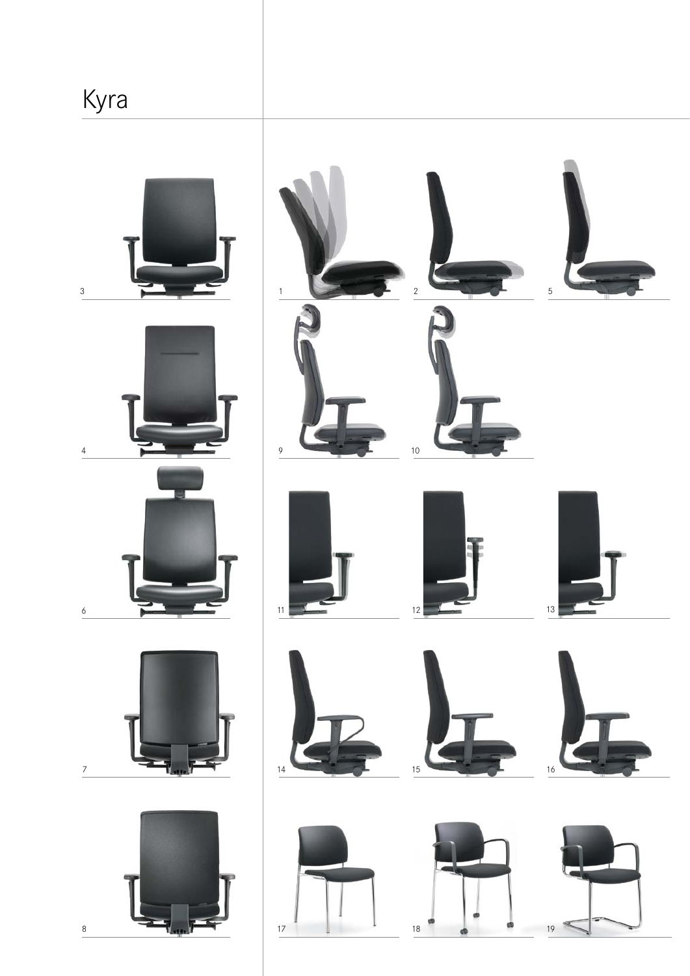Kyra

















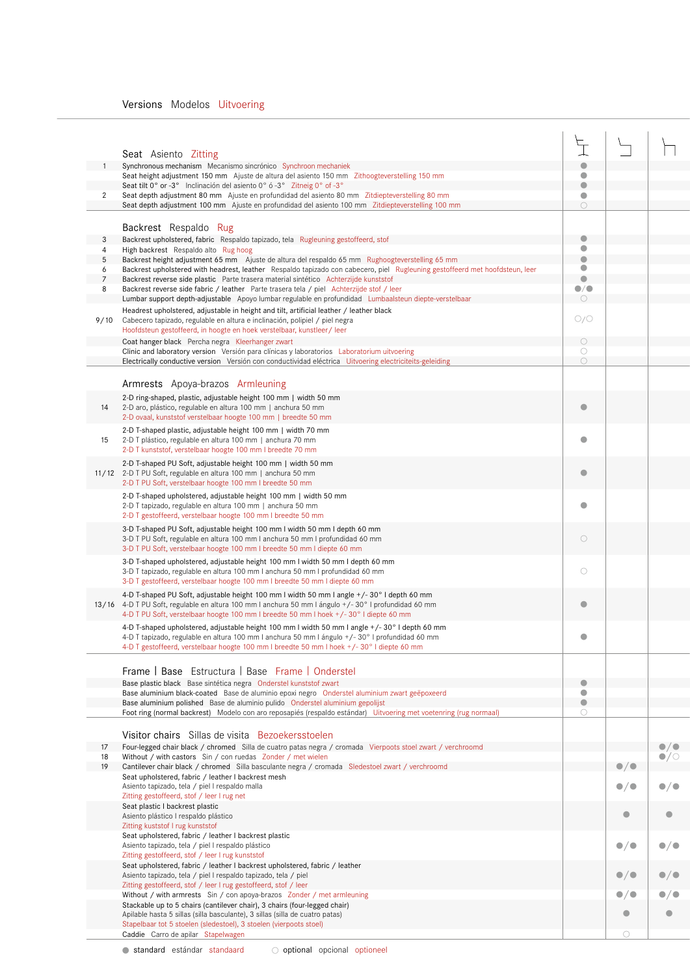|                     | Seat Asiento Zitting                                                                                                                                                                               |                        |                   |                       |
|---------------------|----------------------------------------------------------------------------------------------------------------------------------------------------------------------------------------------------|------------------------|-------------------|-----------------------|
| 1                   | Synchronous mechanism Mecanismo sincrónico Synchroon mechaniek                                                                                                                                     |                        |                   |                       |
|                     | Seat height adjustment 150 mm Ajuste de altura del asiento 150 mm Zithoogteverstelling 150 mm<br>Seat tilt 0° or -3° Inclinación del asiento 0° ó -3° Zitneig 0° of -3°                            | O<br>Ó                 |                   |                       |
| 2                   | Seat depth adjustment 80 mm Ajuste en profundidad del asiento 80 mm Zitdiepteverstelling 80 mm                                                                                                     | $\bullet$              |                   |                       |
|                     | Seat depth adjustment 100 mm Ajuste en profundidad del asiento 100 mm Zitdiepteverstelling 100 mm                                                                                                  | $\bigcirc$             |                   |                       |
|                     |                                                                                                                                                                                                    |                        |                   |                       |
|                     | Backrest Respaldo Rug                                                                                                                                                                              |                        |                   |                       |
| 3<br>4              | Backrest upholstered, fabric Respaldo tapizado, tela Rugleuning gestoffeerd, stof<br>High backrest Respaldo alto Rug hoog                                                                          | ä                      |                   |                       |
| 5                   | Backrest height adjustment 65 mm Ajuste de altura del respaldo 65 mm Rughoogteverstelling 65 mm                                                                                                    | $\bullet$              |                   |                       |
| 6                   | Backrest upholstered with headrest, leather Respaldo tapizado con cabecero, piel Rugleuning gestoffeerd met hoofdsteun, leer                                                                       | $\bullet$<br>$\bullet$ |                   |                       |
| $\overline{7}$<br>8 | Backrest reverse side plastic Parte trasera material sintético Achterzijde kunststof<br>Backrest reverse side fabric / leather Parte trasera tela / piel Achterzijde stof / leer                   | $\bullet$ / $\bullet$  |                   |                       |
|                     | Lumbar support depth-adjustable Apoyo lumbar regulable en profundidad Lumbaalsteun diepte-verstelbaar                                                                                              | ○                      |                   |                       |
|                     | Headrest upholstered, adjustable in height and tilt, artificial leather / leather black                                                                                                            |                        |                   |                       |
| 9/10                | Cabecero tapizado, regulable en altura e inclinación, polipiel / piel negra<br>Hoofdsteun gestoffeerd, in hoogte en hoek verstelbaar, kunstleer/leer                                               | O/O                    |                   |                       |
|                     | Coat hanger black Percha negra Kleerhanger zwart                                                                                                                                                   | O                      |                   |                       |
|                     | Clinic and laboratory version Versión para clínicas y laboratorios Laboratorium uitvoering                                                                                                         | О                      |                   |                       |
|                     | Electrically conductive version Versión con conductividad eléctrica Uitvoering electriciteits-geleiding                                                                                            | $\bigcirc$             |                   |                       |
|                     | Armrests Apoya-brazos Armleuning                                                                                                                                                                   |                        |                   |                       |
|                     | 2-D ring-shaped, plastic, adjustable height 100 mm   width 50 mm                                                                                                                                   |                        |                   |                       |
| 14                  | 2-D aro, plástico, regulable en altura 100 mm   anchura 50 mm                                                                                                                                      | a                      |                   |                       |
|                     | 2-D ovaal, kunststof verstelbaar hoogte 100 mm   breedte 50 mm                                                                                                                                     |                        |                   |                       |
|                     | 2-D T-shaped plastic, adjustable height 100 mm   width 70 mm                                                                                                                                       |                        |                   |                       |
| 15                  | 2-D T plástico, regulable en altura 100 mm   anchura 70 mm<br>2-D T kunststof, verstelbaar hoogte 100 mm I breedte 70 mm                                                                           | 0                      |                   |                       |
|                     | 2-D T-shaped PU Soft, adjustable height 100 mm   width 50 mm                                                                                                                                       |                        |                   |                       |
|                     | 11/12 2-D T PU Soft, regulable en altura 100 mm   anchura 50 mm                                                                                                                                    | 0                      |                   |                       |
|                     | 2-D T PU Soft, verstelbaar hoogte 100 mm I breedte 50 mm                                                                                                                                           |                        |                   |                       |
|                     | 2-D T-shaped upholstered, adjustable height 100 mm   width 50 mm                                                                                                                                   |                        |                   |                       |
|                     | 2-D T tapizado, regulable en altura 100 mm   anchura 50 mm<br>2-D T gestoffeerd, verstelbaar hoogte 100 mm I breedte 50 mm                                                                         | 0                      |                   |                       |
|                     |                                                                                                                                                                                                    |                        |                   |                       |
|                     | 3-D T-shaped PU Soft, adjustable height 100 mm I width 50 mm I depth 60 mm<br>3-D T PU Soft, regulable en altura 100 mm I anchura 50 mm I profundidad 60 mm                                        | $\circ$                |                   |                       |
|                     | 3-D T PU Soft, verstelbaar hoogte 100 mm I breedte 50 mm I diepte 60 mm                                                                                                                            |                        |                   |                       |
|                     | 3-D T-shaped upholstered, adjustable height 100 mm I width 50 mm I depth 60 mm                                                                                                                     |                        |                   |                       |
|                     | 3-D T tapizado, regulable en altura 100 mm l anchura 50 mm l profundidad 60 mm<br>3-D T gestoffeerd, verstelbaar hoogte 100 mm I breedte 50 mm I diepte 60 mm                                      | $\bigcirc$             |                   |                       |
|                     | 4-D T-shaped PU Soft, adjustable height 100 mm I width 50 mm I angle +/- 30° I depth 60 mm                                                                                                         |                        |                   |                       |
| 13/16               | 4-D T PU Soft, regulable en altura 100 mm I anchura 50 mm I ángulo +/-30° I profundidad 60 mm                                                                                                      | 0                      |                   |                       |
|                     | 4-D T PU Soft, verstelbaar hoogte 100 mm I breedte 50 mm I hoek +/- 30° I diepte 60 mm                                                                                                             |                        |                   |                       |
|                     | 4-D T-shaped upholstered, adjustable height 100 mm I width 50 mm I angle +/-30° I depth 60 mm                                                                                                      |                        |                   |                       |
|                     | 4-D T tapizado, regulable en altura 100 mm I anchura 50 mm I ángulo +/-30° I profundidad 60 mm<br>4-D T gestoffeerd, verstelbaar hoogte 100 mm I breedte 50 mm I hoek +/-30° I diepte 60 mm        | a                      |                   |                       |
|                     |                                                                                                                                                                                                    |                        |                   |                       |
|                     | Frame   Base Estructura   Base Frame   Onderstel                                                                                                                                                   |                        |                   |                       |
|                     | Base plastic black Base sintética negra Onderstel kunststof zwart                                                                                                                                  |                        |                   |                       |
|                     | Base aluminium black-coated Base de aluminio epoxi negro Onderstel aluminium zwart geëpoxeerd                                                                                                      | $\bullet$<br>$\bullet$ |                   |                       |
|                     | Base aluminium polished Base de aluminio pulido Onderstel aluminium gepolijst<br>Foot ring (normal backrest) Modelo con aro reposapiés (respaldo estándar) Uitvoering met voetenring (rug normaal) | O                      |                   |                       |
|                     |                                                                                                                                                                                                    |                        |                   |                       |
|                     | Visitor chairs Sillas de visita Bezoekersstoelen                                                                                                                                                   |                        |                   |                       |
| 17                  | Four-legged chair black / chromed Silla de cuatro patas negra / cromada Vierpoots stoel zwart / verchroomd                                                                                         |                        |                   | $\bullet/\bullet$     |
| 18<br>19            | Without / with castors Sin / con ruedas Zonder / met wielen<br>Cantilever chair black / chromed Silla basculante negra / cromada Sledestoel zwart / verchroomd                                     |                        | $\bullet/\bullet$ | $\bullet$ / $\circ$   |
|                     | Seat upholstered, fabric / leather I backrest mesh                                                                                                                                                 |                        |                   |                       |
|                     | Asiento tapizado, tela / piel I respaldo malla                                                                                                                                                     |                        | $\bullet/\bullet$ | $\bullet/\bullet$     |
|                     | Zitting gestoffeerd, stof / leer I rug net<br>Seat plastic I backrest plastic                                                                                                                      |                        |                   |                       |
|                     | Asiento plástico I respaldo plástico                                                                                                                                                               |                        | $\bullet$         | 0                     |
|                     | Zitting kuststof I rug kunststof                                                                                                                                                                   |                        |                   |                       |
|                     | Seat upholstered, fabric / leather I backrest plastic<br>Asiento tapizado, tela / piel I respaldo plástico                                                                                         |                        | $\bullet/\bullet$ | $\bullet$ / $\bullet$ |
|                     | Zitting gestoffeerd, stof / leer I rug kunststof                                                                                                                                                   |                        |                   |                       |
|                     | Seat upholstered, fabric / leather I backrest upholstered, fabric / leather                                                                                                                        |                        | $\bullet/\bullet$ |                       |
|                     | Asiento tapizado, tela / piel I respaldo tapizado, tela / piel<br>Zitting gestoffeerd, stof / leer I rug gestoffeerd, stof / leer                                                                  |                        |                   |                       |
|                     | Without / with armrests Sin / con apoya-brazos Zonder / met armleuning                                                                                                                             |                        | $\bullet/\bullet$ |                       |
|                     | Stackable up to 5 chairs (cantilever chair), 3 chairs (four-legged chair)                                                                                                                          |                        | $\bullet$         |                       |
|                     | Apilable hasta 5 sillas (silla basculante), 3 sillas (silla de cuatro patas)<br>Stapelbaar tot 5 stoelen (sledestoel), 3 stoelen (vierpoots stoel)                                                 |                        |                   |                       |
|                     | Caddie Carro de apilar Stapelwagen                                                                                                                                                                 |                        | ∩                 |                       |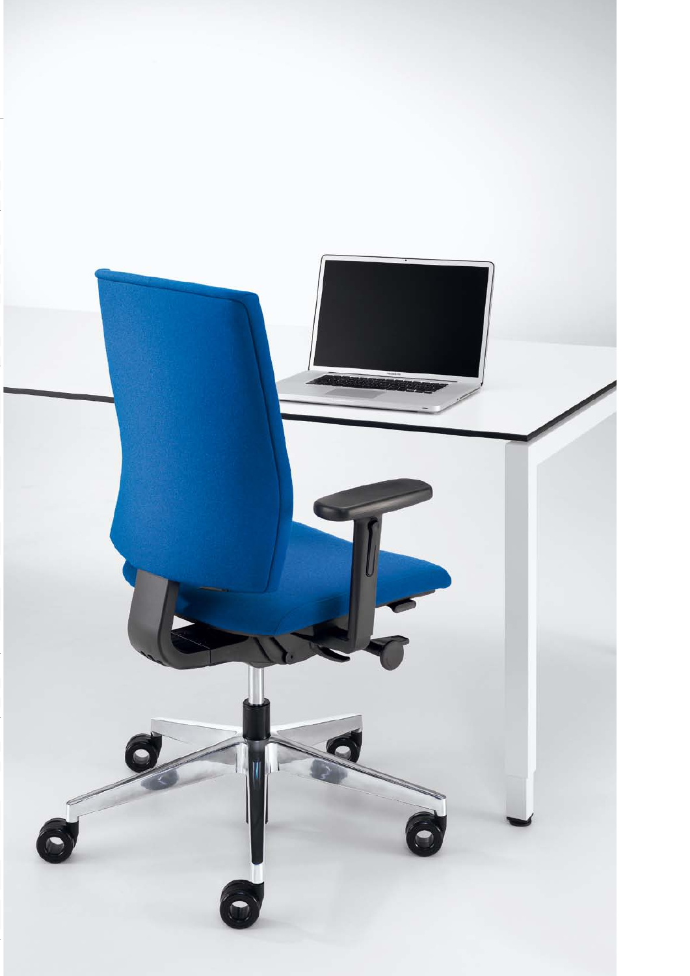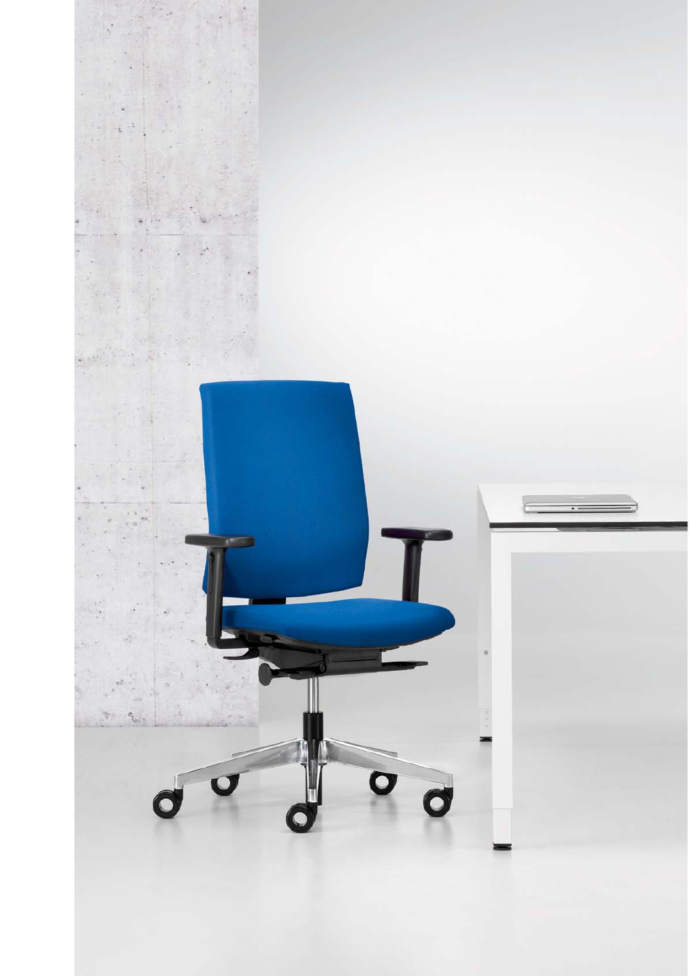